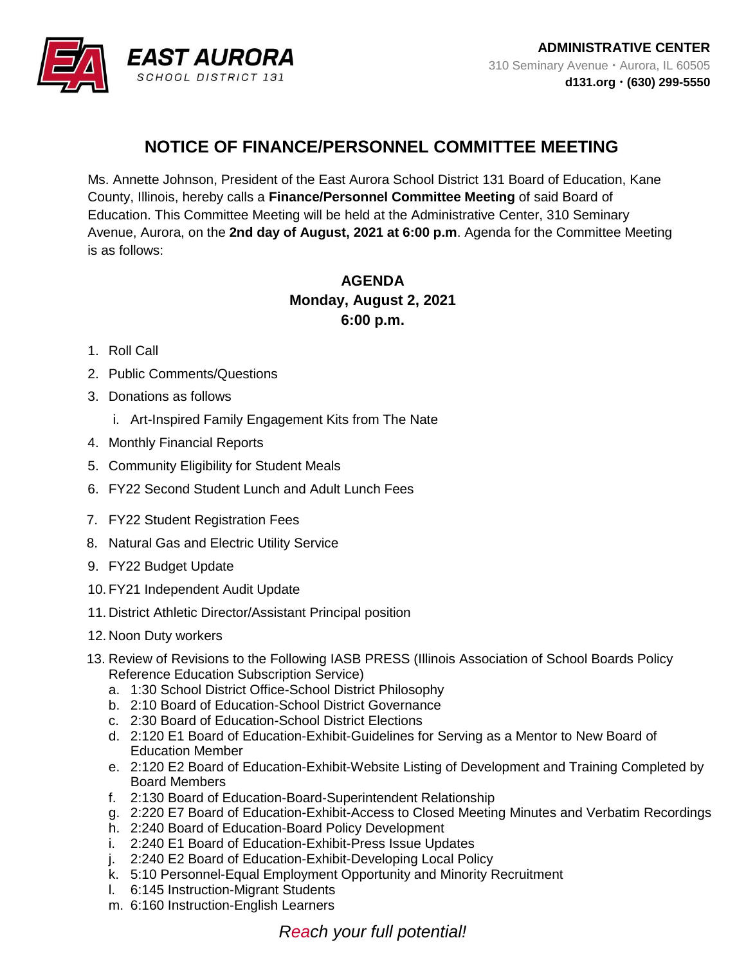

## **NOTICE OF FINANCE/PERSONNEL COMMITTEE MEETING**

Ms. Annette Johnson, President of the East Aurora School District 131 Board of Education, Kane County, Illinois, hereby calls a **Finance/Personnel Committee Meeting** of said Board of Education. This Committee Meeting will be held at the Administrative Center, 310 Seminary Avenue, Aurora, on the **2nd day of August, 2021 at 6:00 p.m**. Agenda for the Committee Meeting is as follows:

## **AGENDA Monday, August 2, 2021 6:00 p.m.**

## 1. Roll Call

- 2. Public Comments/Questions
- 3. Donations as follows
	- i. Art-Inspired Family Engagement Kits from The Nate
- 4. Monthly Financial Reports
- 5. Community Eligibility for Student Meals
- 6. FY22 Second Student Lunch and Adult Lunch Fees
- 7. FY22 Student Registration Fees
- 8. Natural Gas and Electric Utility Service
- 9. FY22 Budget Update
- 10. FY21 Independent Audit Update
- 11. District Athletic Director/Assistant Principal position
- 12. Noon Duty workers
- 13. Review of Revisions to the Following IASB PRESS (Illinois Association of School Boards Policy Reference Education Subscription Service)
	- a. 1:30 School District Office-School District Philosophy
	- b. 2:10 Board of Education-School District Governance
	- c. 2:30 Board of Education-School District Elections
	- d. 2:120 E1 Board of Education-Exhibit-Guidelines for Serving as a Mentor to New Board of Education Member
	- e. 2:120 E2 Board of Education-Exhibit-Website Listing of Development and Training Completed by Board Members
	- f. 2:130 Board of Education-Board-Superintendent Relationship
	- g. 2:220 E7 Board of Education-Exhibit-Access to Closed Meeting Minutes and Verbatim Recordings
	- h. 2:240 Board of Education-Board Policy Development
	- i. 2:240 E1 Board of Education-Exhibit-Press Issue Updates
	- j. 2:240 E2 Board of Education-Exhibit-Developing Local Policy
	- k. 5:10 Personnel-Equal Employment Opportunity and Minority Recruitment
	- l. 6:145 Instruction-Migrant Students
	- m. 6:160 Instruction-English Learners

## *Reach your full potential!*